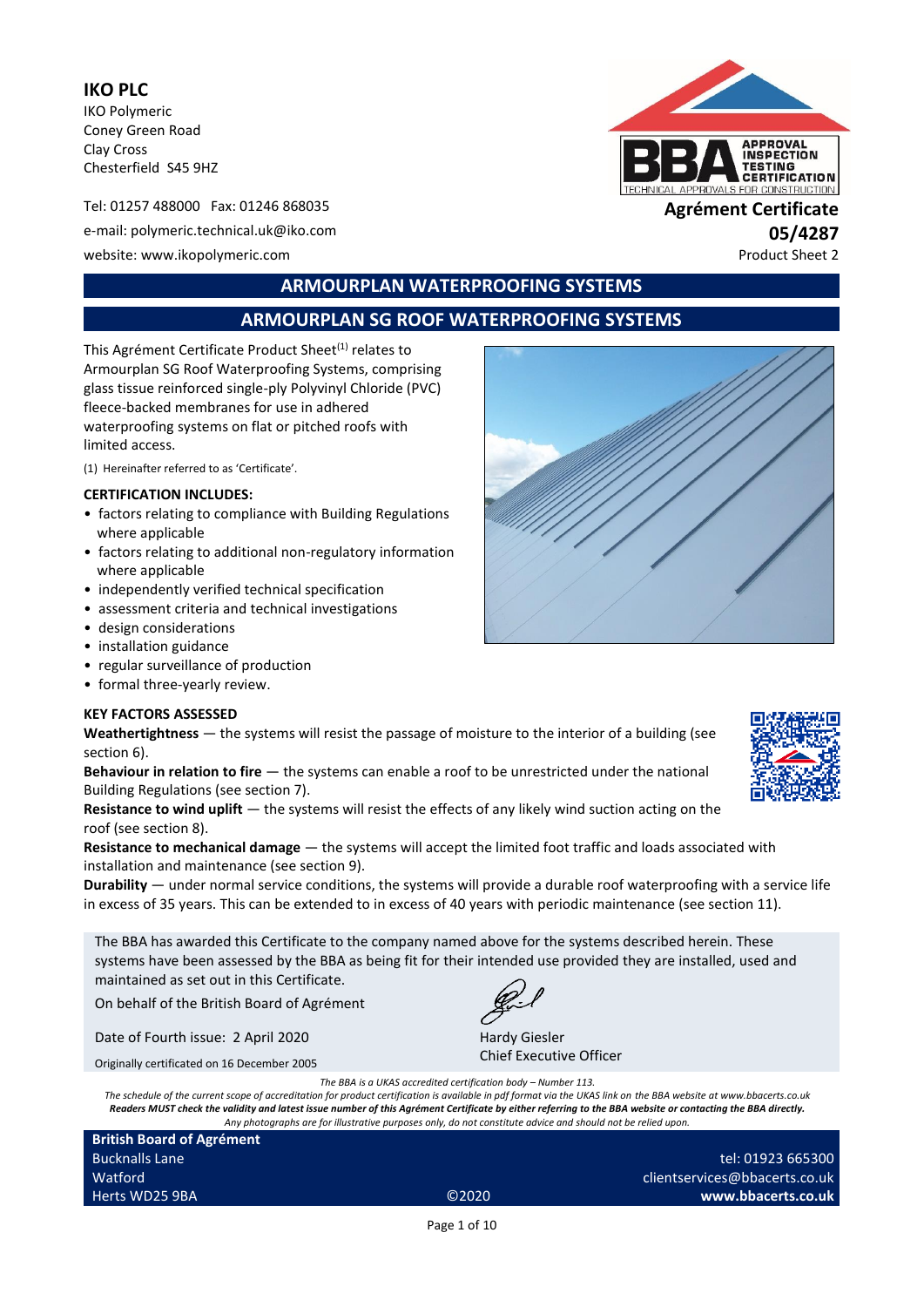**IKO PLC** IKO Polymeric Coney Green Road Clay Cross Chesterfield S45 9HZ

Tel: 01257 488000 Fax: 01246 868035 **Agrément Certificate** e-mail: polymeric.technical.uk@iko.com **05/4287** website: www.ikopolymeric.com example and the example of the example of the example of the example of the example of the example of the example of the example of the example of the example of the example of the example of



# **ARMOURPLAN WATERPROOFING SYSTEMS**

# **ARMOURPLAN SG ROOF WATERPROOFING SYSTEMS**

This Agrément Certificate Product Sheet<sup>(1)</sup> relates to Armourplan SG Roof Waterproofing Systems, comprising glass tissue reinforced single-ply Polyvinyl Chloride (PVC) fleece-backed membranes for use in adhered waterproofing systems on flat or pitched roofs with limited access.

(1) Hereinafter referred to as 'Certificate'.

#### **CERTIFICATION INCLUDES:**

- factors relating to compliance with Building Regulations where applicable
- factors relating to additional non-regulatory information where applicable
- independently verified technical specification
- assessment criteria and technical investigations
- design considerations
- installation guidance
- regular surveillance of production
- formal three-yearly review.

#### **KEY FACTORS ASSESSED**

**Weathertightness** — the systems will resist the passage of moisture to the interior of a building (see section 6).

**Behaviour in relation to fire** — the systems can enable a roof to be unrestricted under the national Building Regulations (see section 7).

**Resistance to wind uplift** — the systems will resist the effects of any likely wind suction acting on the roof (see section 8).

**Resistance to mechanical damage** — the systems will accept the limited foot traffic and loads associated with installation and maintenance (see section 9).

**Durability** — under normal service conditions, the systems will provide a durable roof waterproofing with a service life in excess of 35 years. This can be extended to in excess of 40 years with periodic maintenance (see section 11).

The BBA has awarded this Certificate to the company named above for the systems described herein. These systems have been assessed by the BBA as being fit for their intended use provided they are installed, used and maintained as set out in this Certificate.

On behalf of the British Board of Agrément

Date of Fourth issue: 2 April 2020

Originally certificated on 16 December 2005

Hardy Giesler Chief Executive Officer

*The BBA is a UKAS accredited certification body – Number 113.* 

*The schedule of the current scope of accreditation for product certification is available in pdf format via the UKAS link on the BBA website at www.bbacerts.co.uk Readers MUST check the validity and latest issue number of this Agrément Certificate by either referring to the BBA website or contacting the BBA directly. Any photographs are for illustrative purposes only, do not constitute advice and should not be relied upon.*

**British Board of Agrément** Bucknalls Lane Watford Herts WD25 9BA ©2020

tel: 01923 665300 clientservices@bbacerts.co.uk **www.bbacerts.co.uk**

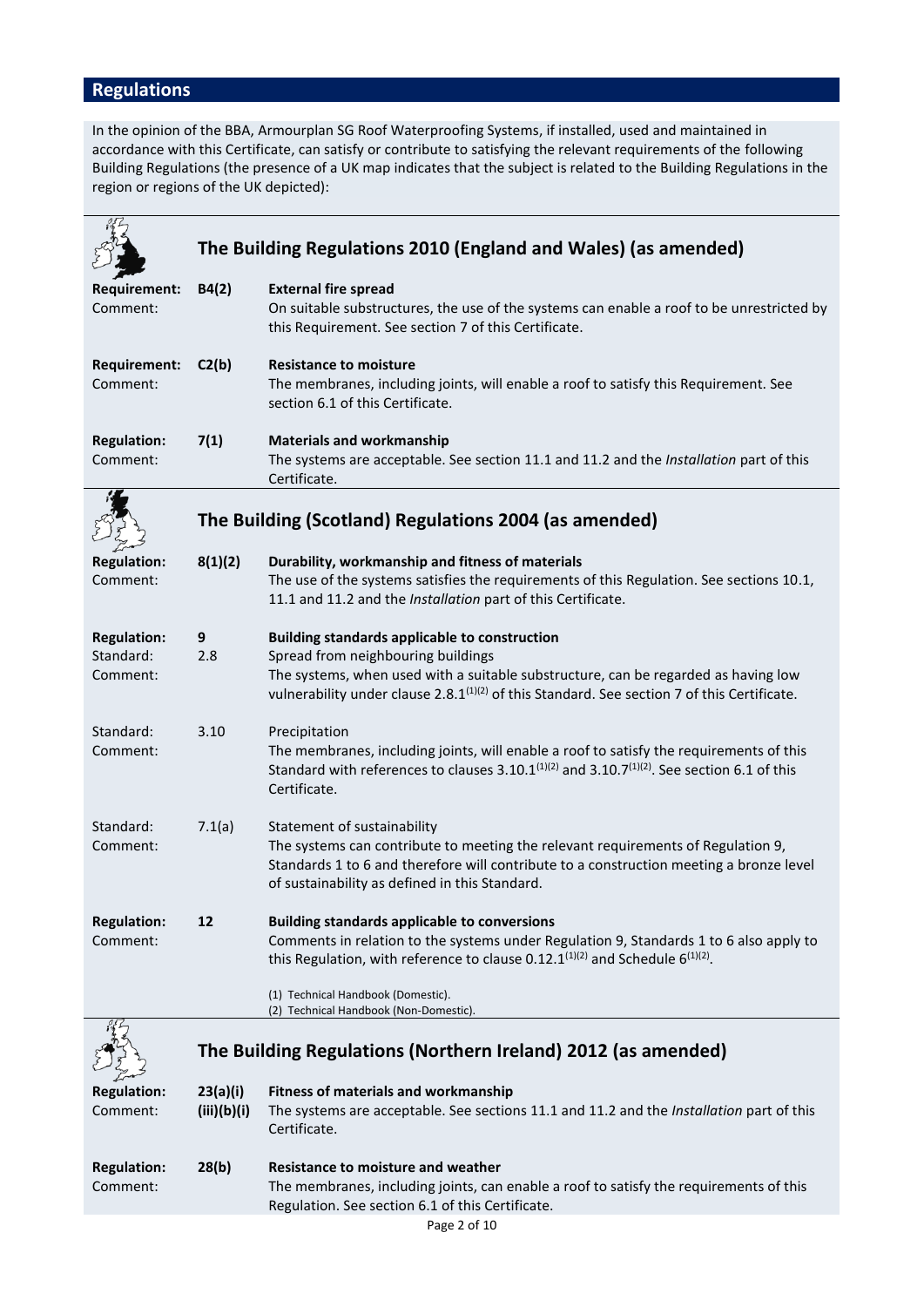# **Regulations**

In the opinion of the BBA, Armourplan SG Roof Waterproofing Systems, if installed, used and maintained in accordance with this Certificate, can satisfy or contribute to satisfying the relevant requirements of the following Building Regulations (the presence of a UK map indicates that the subject is related to the Building Regulations in the region or regions of the UK depicted):

|                                             |                         | The Building Regulations 2010 (England and Wales) (as amended)                                                                                                                                                                                                                              |
|---------------------------------------------|-------------------------|---------------------------------------------------------------------------------------------------------------------------------------------------------------------------------------------------------------------------------------------------------------------------------------------|
| <b>Requirement:</b><br>Comment:             | B4(2)                   | <b>External fire spread</b><br>On suitable substructures, the use of the systems can enable a roof to be unrestricted by<br>this Requirement. See section 7 of this Certificate.                                                                                                            |
| <b>Requirement:</b><br>Comment:             | C2(b)                   | <b>Resistance to moisture</b><br>The membranes, including joints, will enable a roof to satisfy this Requirement. See<br>section 6.1 of this Certificate.                                                                                                                                   |
| <b>Regulation:</b><br>Comment:              | 7(1)                    | <b>Materials and workmanship</b><br>The systems are acceptable. See section 11.1 and 11.2 and the Installation part of this<br>Certificate.                                                                                                                                                 |
|                                             |                         | The Building (Scotland) Regulations 2004 (as amended)                                                                                                                                                                                                                                       |
| <b>Regulation:</b><br>Comment:              | 8(1)(2)                 | Durability, workmanship and fitness of materials<br>The use of the systems satisfies the requirements of this Regulation. See sections 10.1,<br>11.1 and 11.2 and the Installation part of this Certificate.                                                                                |
| <b>Regulation:</b><br>Standard:<br>Comment: | 9<br>2.8                | <b>Building standards applicable to construction</b><br>Spread from neighbouring buildings<br>The systems, when used with a suitable substructure, can be regarded as having low<br>vulnerability under clause 2.8.1 <sup>(1)(2)</sup> of this Standard. See section 7 of this Certificate. |
| Standard:<br>Comment:                       | 3.10                    | Precipitation<br>The membranes, including joints, will enable a roof to satisfy the requirements of this<br>Standard with references to clauses 3.10.1 $(1)(2)$ and 3.10.7 $(1)(2)$ . See section 6.1 of this<br>Certificate.                                                               |
| Standard:<br>Comment:                       | 7.1(a)                  | Statement of sustainability<br>The systems can contribute to meeting the relevant requirements of Regulation 9,<br>Standards 1 to 6 and therefore will contribute to a construction meeting a bronze level<br>of sustainability as defined in this Standard.                                |
| <b>Regulation:</b><br>Comment:              | 12                      | <b>Building standards applicable to conversions</b><br>Comments in relation to the systems under Regulation 9, Standards 1 to 6 also apply to<br>this Regulation, with reference to clause 0.12.1 $(1)(2)$ and Schedule 6 $(1)(2)$ .                                                        |
|                                             |                         | (1) Technical Handbook (Domestic).<br>(2) Technical Handbook (Non-Domestic).                                                                                                                                                                                                                |
|                                             |                         | The Building Regulations (Northern Ireland) 2012 (as amended)                                                                                                                                                                                                                               |
| <b>Regulation:</b><br>Comment:              | 23(a)(i)<br>(iii)(b)(i) | <b>Fitness of materials and workmanship</b><br>The systems are acceptable. See sections 11.1 and 11.2 and the Installation part of this<br>Certificate.                                                                                                                                     |
| <b>Regulation:</b><br>Comment:              | 28(b)                   | Resistance to moisture and weather<br>The membranes, including joints, can enable a roof to satisfy the requirements of this<br>Regulation. See section 6.1 of this Certificate.                                                                                                            |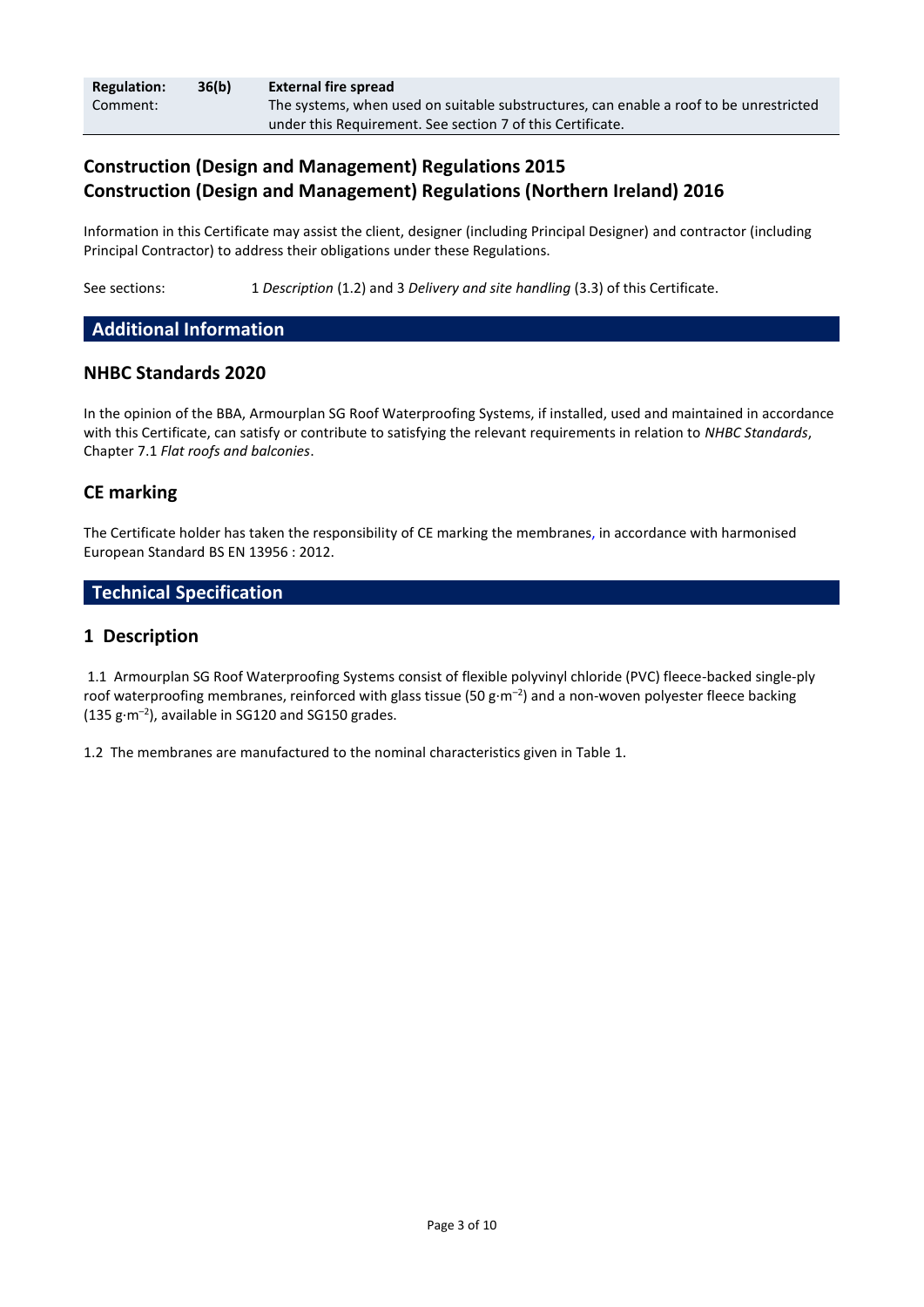| <b>Regulation:</b> | 36(b) | <b>External fire spread</b>                                                            |
|--------------------|-------|----------------------------------------------------------------------------------------|
| Comment:           |       | The systems, when used on suitable substructures, can enable a roof to be unrestricted |
|                    |       | under this Requirement. See section 7 of this Certificate.                             |

# **Construction (Design and Management) Regulations 2015 Construction (Design and Management) Regulations (Northern Ireland) 2016**

Information in this Certificate may assist the client, designer (including Principal Designer) and contractor (including Principal Contractor) to address their obligations under these Regulations.

See sections: 1 *Description* (1.2) and 3 *Delivery and site handling* (3.3) of this Certificate.

# **Additional Information**

# **NHBC Standards 2020**

In the opinion of the BBA, Armourplan SG Roof Waterproofing Systems, if installed, used and maintained in accordance with this Certificate, can satisfy or contribute to satisfying the relevant requirements in relation to *NHBC Standards*, Chapter 7.1 *Flat roofs and balconies*.

# **CE marking**

The Certificate holder has taken the responsibility of CE marking the membranes, in accordance with harmonised European Standard BS EN 13956 : 2012.

# **Technical Specification**

# **1 Description**

1.1 Armourplan SG Roof Waterproofing Systems consist of flexible polyvinyl chloride (PVC) fleece-backed single-ply roof waterproofing membranes, reinforced with glass tissue (50 g·m<sup>-2</sup>) and a non-woven polyester fleece backing  $(135 g·m<sup>-2</sup>)$ , available in SG120 and SG150 grades.

1.2 The membranes are manufactured to the nominal characteristics given in Table 1.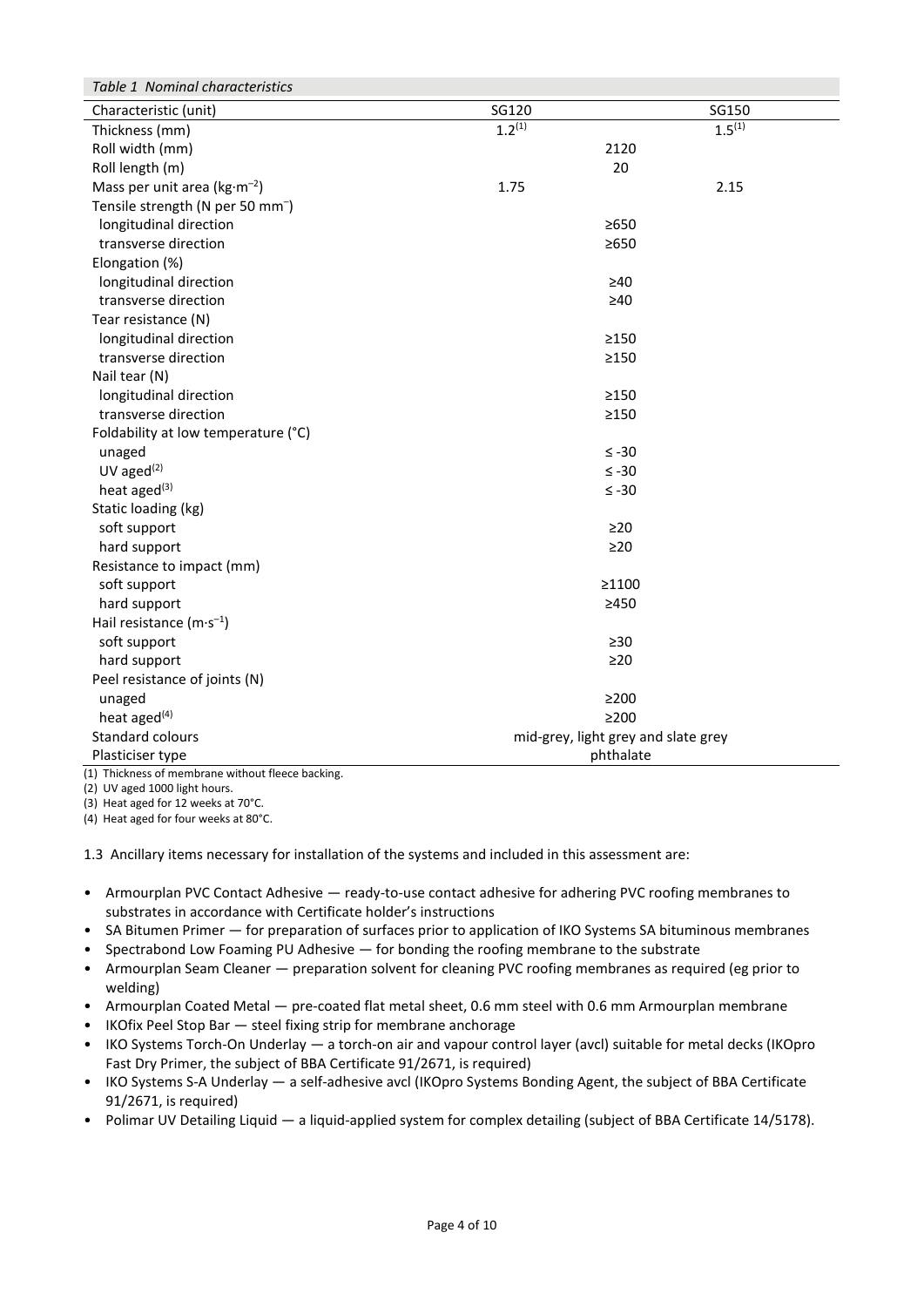| Table 1 Nominal characteristics                   |             |                                     |  |  |  |
|---------------------------------------------------|-------------|-------------------------------------|--|--|--|
| Characteristic (unit)                             | SG120       | SG150                               |  |  |  |
| Thickness (mm)                                    | $1.2^{(1)}$ | $1.5^{(1)}$                         |  |  |  |
| Roll width (mm)                                   |             | 2120                                |  |  |  |
| Roll length (m)                                   |             | 20                                  |  |  |  |
| Mass per unit area ( $kg·m-2$ )                   | 1.75        | 2.15                                |  |  |  |
| Tensile strength (N per 50 mm <sup>-</sup> )      |             |                                     |  |  |  |
| longitudinal direction                            |             | $\geq 650$                          |  |  |  |
| transverse direction                              |             | $\geq 650$                          |  |  |  |
| Elongation (%)                                    |             |                                     |  |  |  |
| longitudinal direction                            |             | $\geq 40$                           |  |  |  |
| transverse direction                              |             | $\geq 40$                           |  |  |  |
| Tear resistance (N)                               |             |                                     |  |  |  |
| longitudinal direction                            |             | $\geq$ 150                          |  |  |  |
| transverse direction                              |             | $\geq$ 150                          |  |  |  |
| Nail tear (N)                                     |             |                                     |  |  |  |
| longitudinal direction                            |             | $\geq$ 150                          |  |  |  |
| transverse direction                              |             | $\geq$ 150                          |  |  |  |
| Foldability at low temperature (°C)               |             |                                     |  |  |  |
| unaged                                            |             | $\leq -30$                          |  |  |  |
| $UV$ aged $(2)$                                   |             | $\leq -30$                          |  |  |  |
| heat aged <sup>(3)</sup>                          |             | $\leq -30$                          |  |  |  |
| Static loading (kg)                               |             |                                     |  |  |  |
| soft support                                      |             | $\geq$ 20                           |  |  |  |
| hard support                                      |             | $\geq$ 20                           |  |  |  |
| Resistance to impact (mm)                         |             |                                     |  |  |  |
| soft support                                      |             | ≥1100                               |  |  |  |
| hard support                                      |             | >450                                |  |  |  |
| Hail resistance $(m \cdot s^{-1})$                |             |                                     |  |  |  |
| soft support                                      |             | $\geq 30$                           |  |  |  |
| hard support                                      |             | $\geq$ 20                           |  |  |  |
| Peel resistance of joints (N)                     |             |                                     |  |  |  |
| unaged                                            |             | $\geq$ 200                          |  |  |  |
| heat aged $(4)$                                   |             | $\geq$ 200                          |  |  |  |
| Standard colours                                  |             | mid-grey, light grey and slate grey |  |  |  |
| Plasticiser type                                  |             | phthalate                           |  |  |  |
| (1) Thickness of membrane without fleece backing. |             |                                     |  |  |  |

(2) UV aged 1000 light hours.

(3) Heat aged for 12 weeks at 70°C. (4) Heat aged for four weeks at 80°C.

1.3 Ancillary items necessary for installation of the systems and included in this assessment are:

- Armourplan PVC Contact Adhesive ready-to-use contact adhesive for adhering PVC roofing membranes to substrates in accordance with Certificate holder's instructions
- SA Bitumen Primer for preparation of surfaces prior to application of IKO Systems SA bituminous membranes
- Spectrabond Low Foaming PU Adhesive for bonding the roofing membrane to the substrate
- Armourplan Seam Cleaner preparation solvent for cleaning PVC roofing membranes as required (eg prior to welding)
- Armourplan Coated Metal pre-coated flat metal sheet, 0.6 mm steel with 0.6 mm Armourplan membrane
- IKOfix Peel Stop Bar steel fixing strip for membrane anchorage
- IKO Systems Torch-On Underlay a torch-on air and vapour control layer (avcl) suitable for metal decks (IKOpro Fast Dry Primer, the subject of BBA Certificate 91/2671, is required)
- IKO Systems S-A Underlay a self-adhesive avcl (IKOpro Systems Bonding Agent, the subject of BBA Certificate 91/2671, is required)
- Polimar UV Detailing Liquid a liquid-applied system for complex detailing (subject of BBA Certificate 14/5178).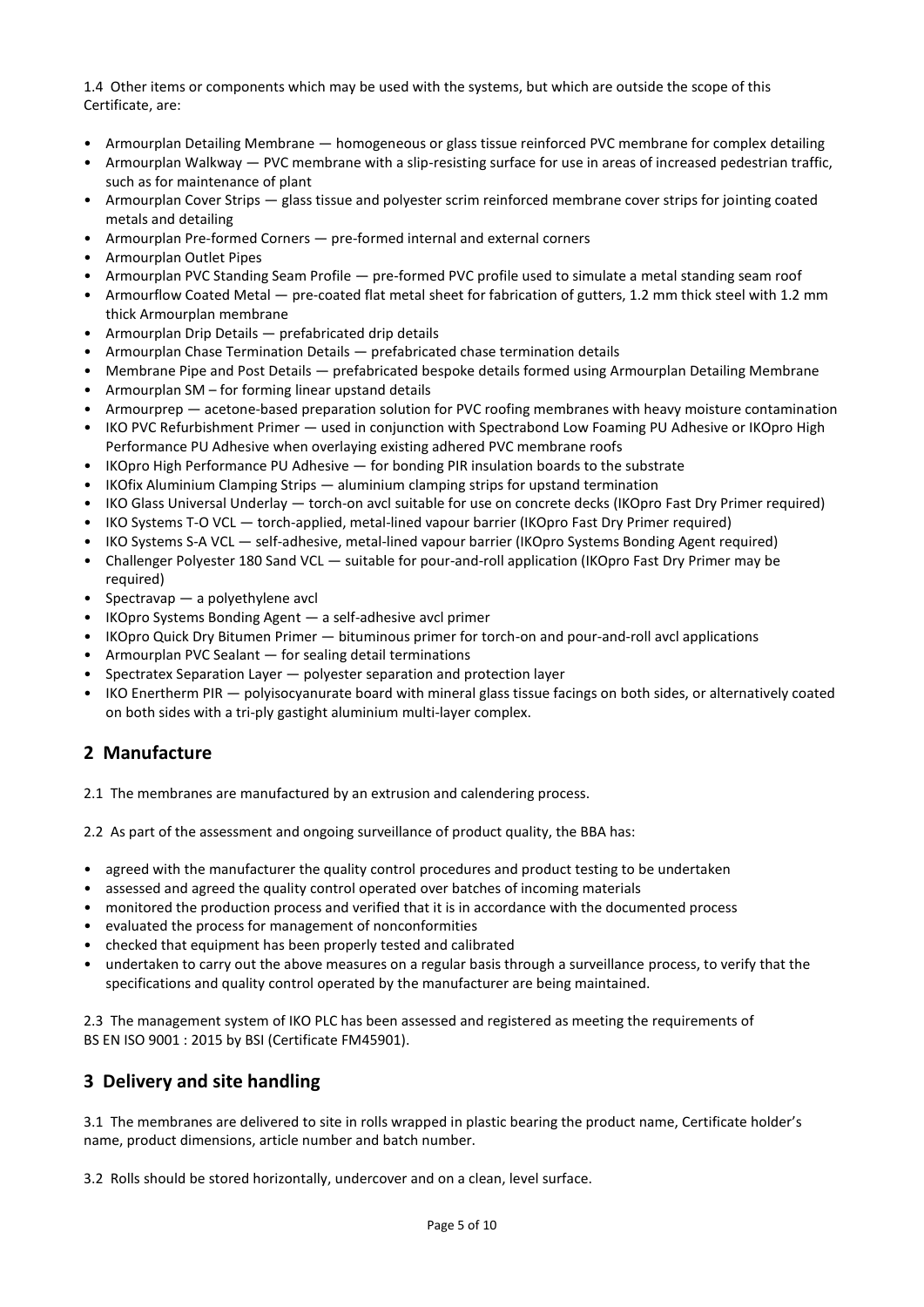1.4 Other items or components which may be used with the systems, but which are outside the scope of this Certificate, are:

- Armourplan Detailing Membrane homogeneous or glass tissue reinforced PVC membrane for complex detailing
- Armourplan Walkway PVC membrane with a slip-resisting surface for use in areas of increased pedestrian traffic, such as for maintenance of plant
- Armourplan Cover Strips glass tissue and polyester scrim reinforced membrane cover strips for jointing coated metals and detailing
- Armourplan Pre-formed Corners pre-formed internal and external corners
- Armourplan Outlet Pipes
- Armourplan PVC Standing Seam Profile pre-formed PVC profile used to simulate a metal standing seam roof
- Armourflow Coated Metal pre-coated flat metal sheet for fabrication of gutters, 1.2 mm thick steel with 1.2 mm thick Armourplan membrane
- Armourplan Drip Details prefabricated drip details
- Armourplan Chase Termination Details prefabricated chase termination details
- Membrane Pipe and Post Details prefabricated bespoke details formed using Armourplan Detailing Membrane
- Armourplan SM for forming linear upstand details
- Armourprep acetone-based preparation solution for PVC roofing membranes with heavy moisture contamination
- IKO PVC Refurbishment Primer used in conjunction with Spectrabond Low Foaming PU Adhesive or IKOpro High Performance PU Adhesive when overlaying existing adhered PVC membrane roofs
- IKOpro High Performance PU Adhesive for bonding PIR insulation boards to the substrate
- IKOfix Aluminium Clamping Strips aluminium clamping strips for upstand termination
- IKO Glass Universal Underlay torch-on avcl suitable for use on concrete decks (IKOpro Fast Dry Primer required)
- IKO Systems T-O VCL torch-applied, metal-lined vapour barrier (IKOpro Fast Dry Primer required)
- IKO Systems S-A VCL self-adhesive, metal-lined vapour barrier (IKOpro Systems Bonding Agent required)
- Challenger Polyester 180 Sand VCL suitable for pour-and-roll application (IKOpro Fast Dry Primer may be required)
- Spectravap a polyethylene avcl
- IKOpro Systems Bonding Agent a self-adhesive avcl primer
- IKOpro Quick Dry Bitumen Primer bituminous primer for torch-on and pour-and-roll avcl applications
- Armourplan PVC Sealant for sealing detail terminations
- Spectratex Separation Layer polyester separation and protection layer
- IKO Enertherm PIR polyisocyanurate board with mineral glass tissue facings on both sides, or alternatively coated on both sides with a tri-ply gastight aluminium multi-layer complex.

# **2 Manufacture**

2.1 The membranes are manufactured by an extrusion and calendering process.

2.2 As part of the assessment and ongoing surveillance of product quality, the BBA has:

- agreed with the manufacturer the quality control procedures and product testing to be undertaken
- assessed and agreed the quality control operated over batches of incoming materials
- monitored the production process and verified that it is in accordance with the documented process
- evaluated the process for management of nonconformities
- checked that equipment has been properly tested and calibrated
- undertaken to carry out the above measures on a regular basis through a surveillance process, to verify that the specifications and quality control operated by the manufacturer are being maintained.

2.3 The management system of IKO PLC has been assessed and registered as meeting the requirements of BS EN ISO 9001 : 2015 by BSI (Certificate FM45901).

# **3 Delivery and site handling**

3.1 The membranes are delivered to site in rolls wrapped in plastic bearing the product name, Certificate holder's name, product dimensions, article number and batch number.

3.2 Rolls should be stored horizontally, undercover and on a clean, level surface.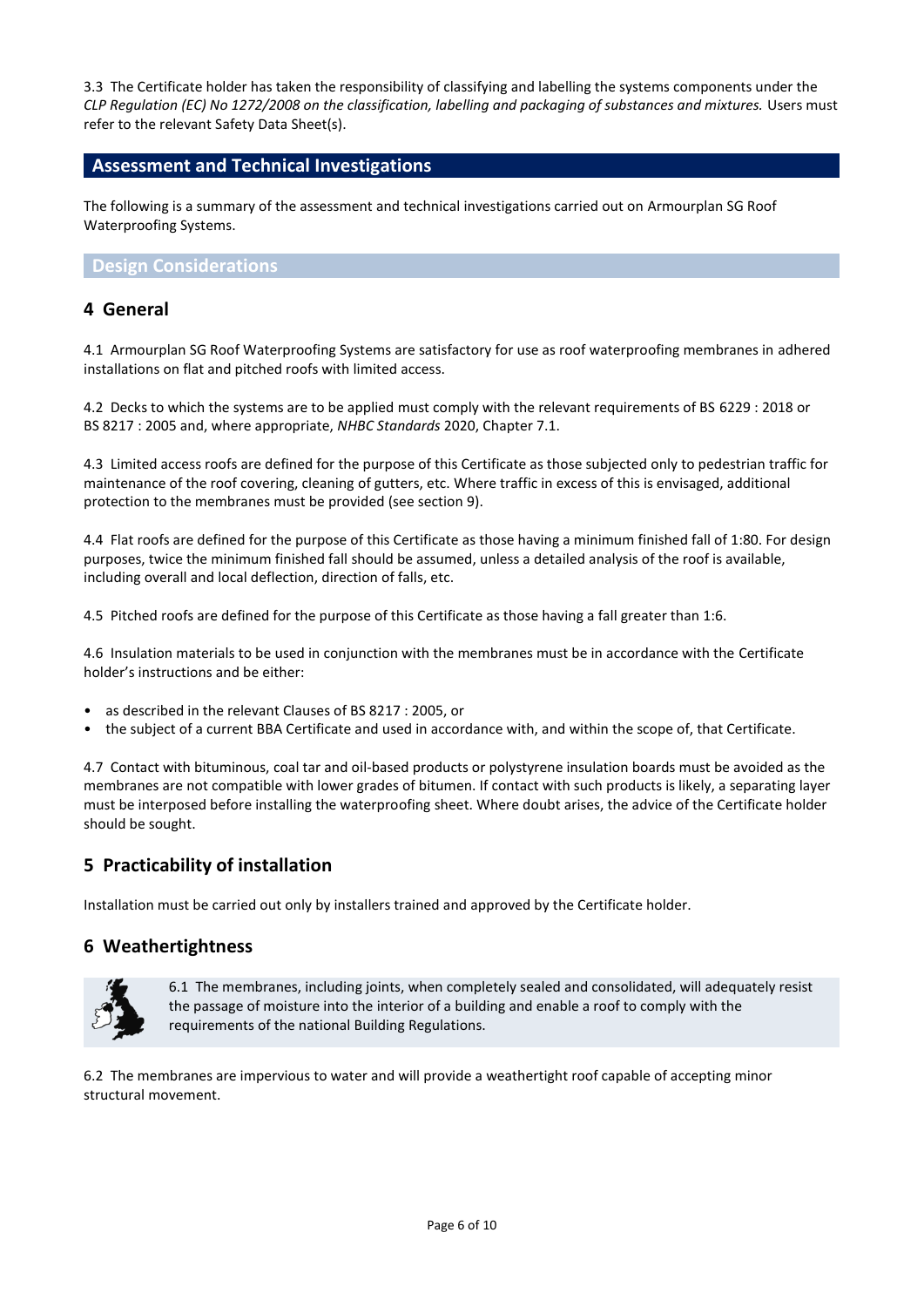3.3 The Certificate holder has taken the responsibility of classifying and labelling the systems components under the *CLP Regulation (EC) No 1272/2008 on the classification, labelling and packaging of substances and mixtures.* Users must refer to the relevant Safety Data Sheet(s).

# **Assessment and Technical Investigations**

The following is a summary of the assessment and technical investigations carried out on Armourplan SG Roof Waterproofing Systems.

## **Design Considerations**

# **4 General**

4.1 Armourplan SG Roof Waterproofing Systems are satisfactory for use as roof waterproofing membranes in adhered installations on flat and pitched roofs with limited access.

4.2 Decks to which the systems are to be applied must comply with the relevant requirements of BS 6229 : 2018 or BS 8217 : 2005 and, where appropriate, *NHBC Standards* 2020, Chapter 7.1.

4.3 Limited access roofs are defined for the purpose of this Certificate as those subjected only to pedestrian traffic for maintenance of the roof covering, cleaning of gutters, etc. Where traffic in excess of this is envisaged, additional protection to the membranes must be provided (see section 9).

4.4 Flat roofs are defined for the purpose of this Certificate as those having a minimum finished fall of 1:80. For design purposes, twice the minimum finished fall should be assumed, unless a detailed analysis of the roof is available, including overall and local deflection, direction of falls, etc.

4.5 Pitched roofs are defined for the purpose of this Certificate as those having a fall greater than 1:6.

4.6 Insulation materials to be used in conjunction with the membranes must be in accordance with the Certificate holder's instructions and be either:

- as described in the relevant Clauses of BS 8217 : 2005, or
- the subject of a current BBA Certificate and used in accordance with, and within the scope of, that Certificate.

4.7 Contact with bituminous, coal tar and oil-based products or polystyrene insulation boards must be avoided as the membranes are not compatible with lower grades of bitumen. If contact with such products is likely, a separating layer must be interposed before installing the waterproofing sheet. Where doubt arises, the advice of the Certificate holder should be sought.

# **5 Practicability of installation**

Installation must be carried out only by installers trained and approved by the Certificate holder.

# **6 Weathertightness**



6.1 The membranes, including joints, when completely sealed and consolidated, will adequately resist the passage of moisture into the interior of a building and enable a roof to comply with the requirements of the national Building Regulations.

6.2 The membranes are impervious to water and will provide a weathertight roof capable of accepting minor structural movement.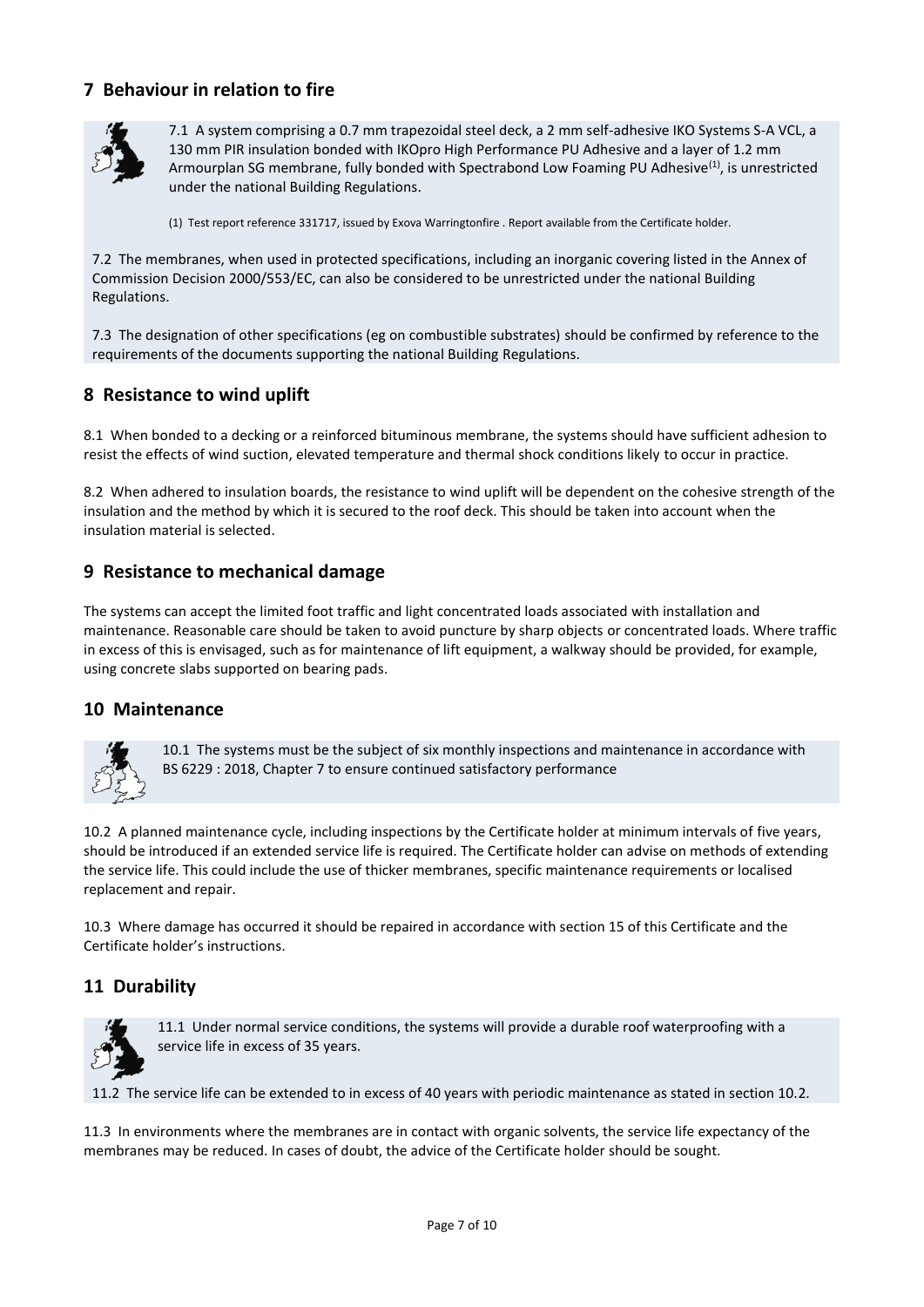# **7 Behaviour in relation to fire**



7.1 A system comprising a 0.7 mm trapezoidal steel deck, a 2 mm self-adhesive IKO Systems S-A VCL, a 130 mm PIR insulation bonded with IKOpro High Performance PU Adhesive and a layer of 1.2 mm Armourplan SG membrane, fully bonded with Spectrabond Low Foaming PU Adhesive<sup>(1)</sup>, is unrestricted under the national Building Regulations.

(1) Test report reference 331717, issued by Exova Warringtonfire . Report available from the Certificate holder.

7.2 The membranes, when used in protected specifications, including an inorganic covering listed in the Annex of Commission Decision 2000/553/EC, can also be considered to be unrestricted under the national Building Regulations.

7.3 The designation of other specifications (eg on combustible substrates) should be confirmed by reference to the requirements of the documents supporting the national Building Regulations.

# **8 Resistance to wind uplift**

8.1 When bonded to a decking or a reinforced bituminous membrane, the systems should have sufficient adhesion to resist the effects of wind suction, elevated temperature and thermal shock conditions likely to occur in practice.

8.2 When adhered to insulation boards, the resistance to wind uplift will be dependent on the cohesive strength of the insulation and the method by which it is secured to the roof deck. This should be taken into account when the insulation material is selected.

# **9 Resistance to mechanical damage**

The systems can accept the limited foot traffic and light concentrated loads associated with installation and maintenance. Reasonable care should be taken to avoid puncture by sharp objects or concentrated loads. Where traffic in excess of this is envisaged, such as for maintenance of lift equipment, a walkway should be provided, for example, using concrete slabs supported on bearing pads.

# **10 Maintenance**



10.1 The systems must be the subject of six monthly inspections and maintenance in accordance with BS 6229 : 2018, Chapter 7 to ensure continued satisfactory performance

10.2 A planned maintenance cycle, including inspections by the Certificate holder at minimum intervals of five years, should be introduced if an extended service life is required. The Certificate holder can advise on methods of extending the service life. This could include the use of thicker membranes, specific maintenance requirements or localised replacement and repair.

10.3 Where damage has occurred it should be repaired in accordance with section 15 of this Certificate and the Certificate holder's instructions.

# **11 Durability**



11.1 Under normal service conditions, the systems will provide a durable roof waterproofing with a service life in excess of 35 years.

11.2 The service life can be extended to in excess of 40 years with periodic maintenance as stated in section 10.2.

11.3 In environments where the membranes are in contact with organic solvents, the service life expectancy of the membranes may be reduced. In cases of doubt, the advice of the Certificate holder should be sought.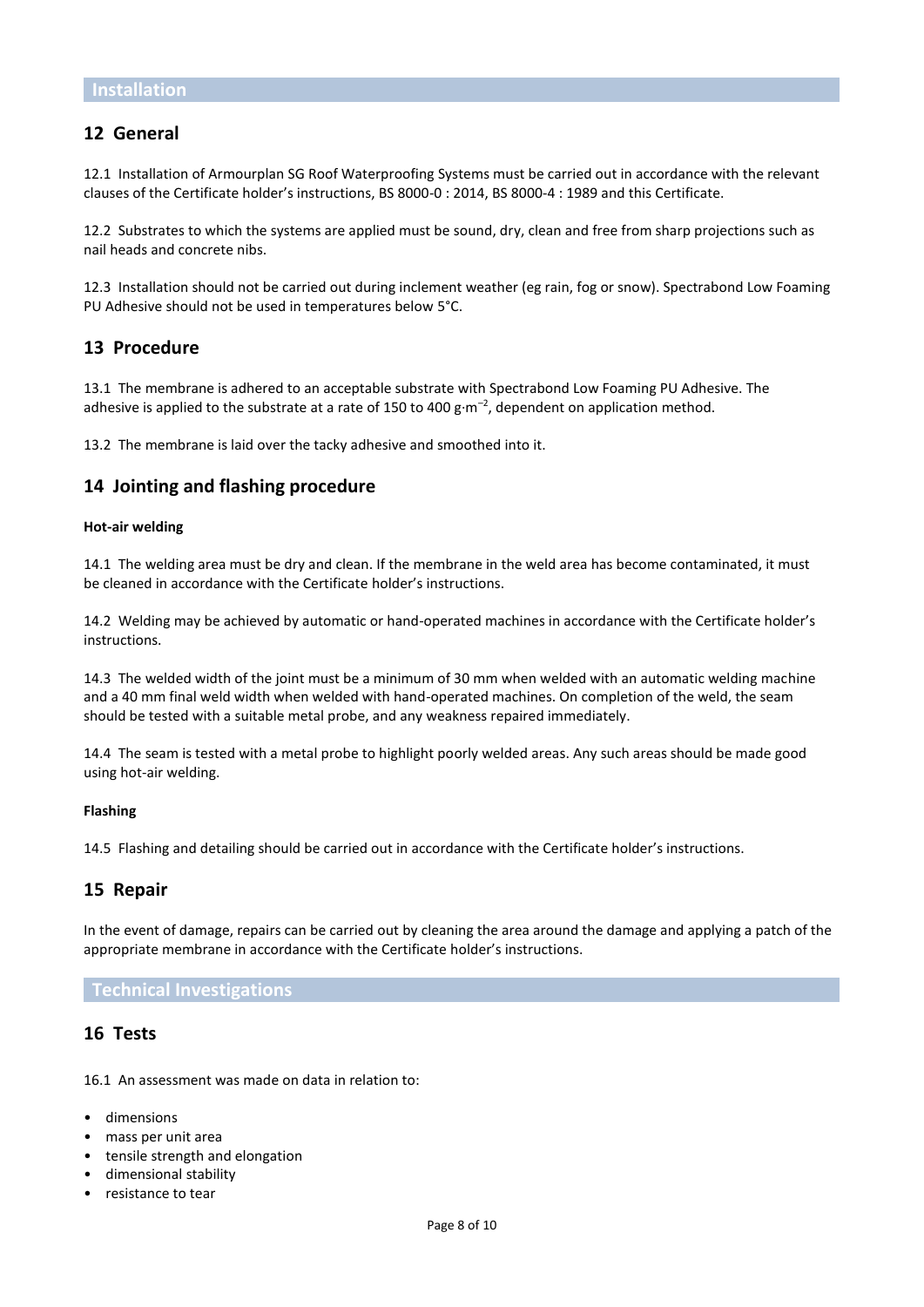# **12 General**

12.1 Installation of Armourplan SG Roof Waterproofing Systems must be carried out in accordance with the relevant clauses of the Certificate holder's instructions, BS 8000-0 : 2014, BS 8000-4 : 1989 and this Certificate.

12.2 Substrates to which the systems are applied must be sound, dry, clean and free from sharp projections such as nail heads and concrete nibs.

12.3 Installation should not be carried out during inclement weather (eg rain, fog or snow). Spectrabond Low Foaming PU Adhesive should not be used in temperatures below 5°C.

### **13 Procedure**

13.1 The membrane is adhered to an acceptable substrate with Spectrabond Low Foaming PU Adhesive. The adhesive is applied to the substrate at a rate of 150 to 400  $g·m<sup>-2</sup>$ , dependent on application method.

13.2 The membrane is laid over the tacky adhesive and smoothed into it.

### **14 Jointing and flashing procedure**

#### **Hot-air welding**

14.1 The welding area must be dry and clean. If the membrane in the weld area has become contaminated, it must be cleaned in accordance with the Certificate holder's instructions.

14.2 Welding may be achieved by automatic or hand-operated machines in accordance with the Certificate holder's instructions.

14.3 The welded width of the joint must be a minimum of 30 mm when welded with an automatic welding machine and a 40 mm final weld width when welded with hand-operated machines. On completion of the weld, the seam should be tested with a suitable metal probe, and any weakness repaired immediately.

14.4 The seam is tested with a metal probe to highlight poorly welded areas. Any such areas should be made good using hot-air welding.

#### **Flashing**

14.5 Flashing and detailing should be carried out in accordance with the Certificate holder's instructions.

## **15 Repair**

In the event of damage, repairs can be carried out by cleaning the area around the damage and applying a patch of the appropriate membrane in accordance with the Certificate holder's instructions.

#### **Technical Investigations**

### **16 Tests**

16.1 An assessment was made on data in relation to:

- dimensions
- mass per unit area
- tensile strength and elongation
- dimensional stability
- resistance to tear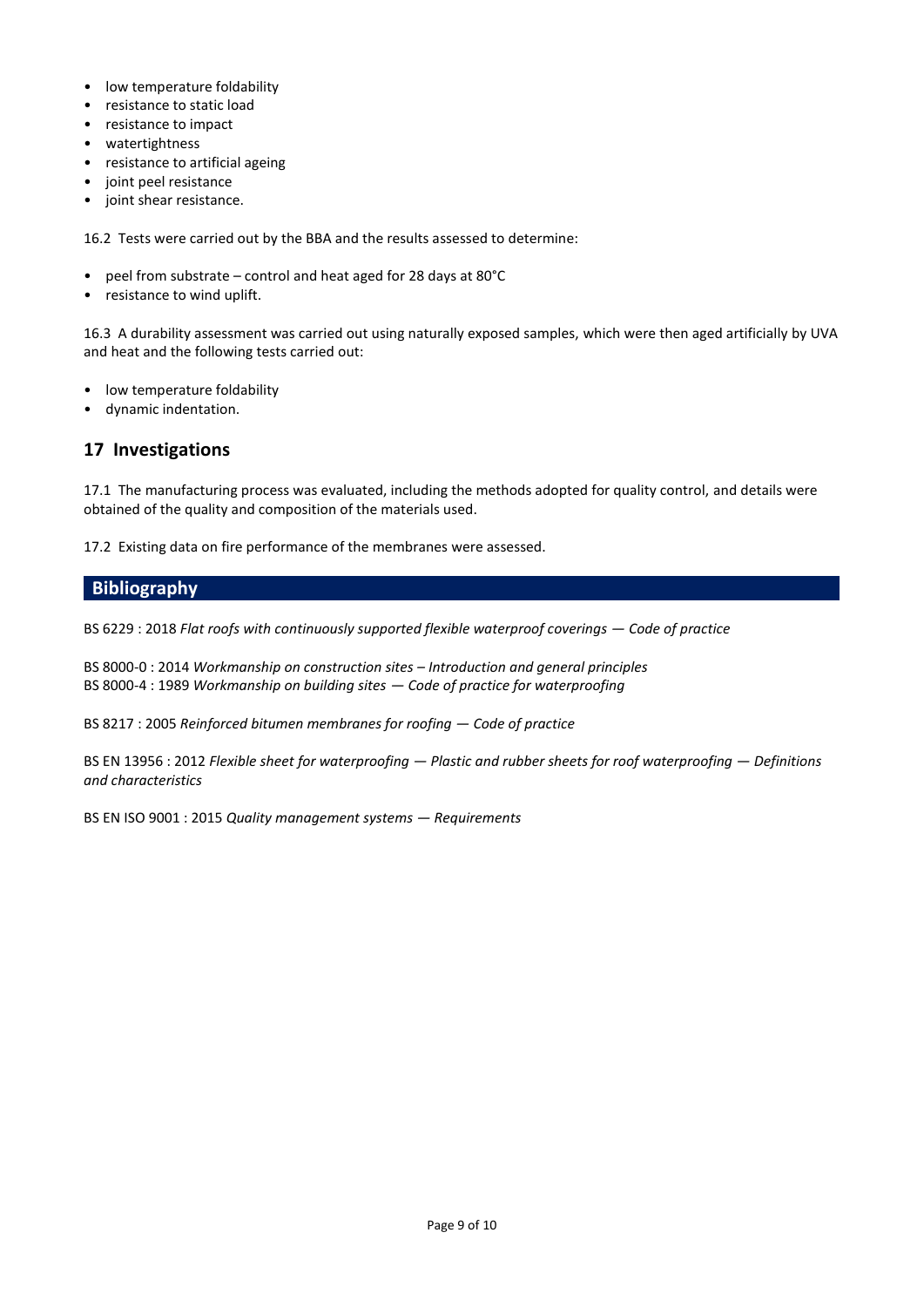- low temperature foldability
- resistance to static load
- resistance to impact
- watertightness
- resistance to artificial ageing
- joint peel resistance
- joint shear resistance.

16.2 Tests were carried out by the BBA and the results assessed to determine:

- peel from substrate control and heat aged for 28 days at 80°C
- resistance to wind uplift.

16.3 A durability assessment was carried out using naturally exposed samples, which were then aged artificially by UVA and heat and the following tests carried out:

- low temperature foldability
- dynamic indentation.

# **17 Investigations**

17.1 The manufacturing process was evaluated, including the methods adopted for quality control, and details were obtained of the quality and composition of the materials used.

17.2 Existing data on fire performance of the membranes were assessed.

# **Bibliography**

BS 6229 : 2018 *Flat roofs with continuously supported flexible waterproof coverings — Code of practice* 

BS 8000-0 : 2014 *Workmanship on construction sites – Introduction and general principles* BS 8000-4 : 1989 *Workmanship on building sites — Code of practice for waterproofing*

BS 8217 : 2005 *Reinforced bitumen membranes for roofing — Code of practice*

BS EN 13956 : 2012 *Flexible sheet for waterproofing — Plastic and rubber sheets for roof waterproofing — Definitions and characteristics*

BS EN ISO 9001 : 2015 *Quality management systems — Requirements*